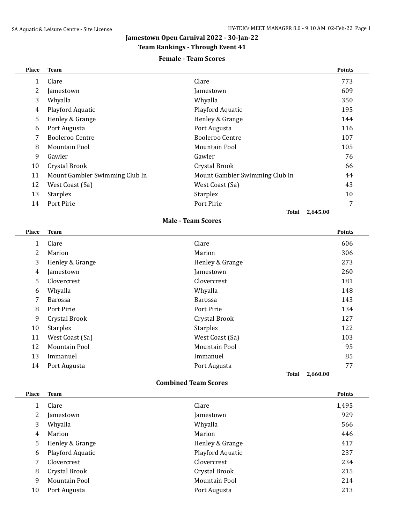# **Jamestown Open Carnival 2022 - 30-Jan-22**

# **Team Rankings - Through Event 41**

### **Female - Team Scores**

| Place | <b>Team</b>                    |                                | <b>Points</b> |
|-------|--------------------------------|--------------------------------|---------------|
| 1     | Clare                          | Clare                          | 773           |
| 2     | Jamestown                      | Jamestown                      | 609           |
| 3     | Whyalla                        | Whyalla                        | 350           |
| 4     | Playford Aquatic               | Playford Aquatic               | 195           |
| 5     | Henley & Grange                | Henley & Grange                | 144           |
| 6     | Port Augusta                   | Port Augusta                   | 116           |
| 7     | Booleroo Centre                | Booleroo Centre                | 107           |
| 8     | Mountain Pool                  | Mountain Pool                  | 105           |
| 9     | Gawler                         | Gawler                         | 76            |
| 10    | Crystal Brook                  | Crystal Brook                  | 66            |
| 11    | Mount Gambier Swimming Club In | Mount Gambier Swimming Club In | 44            |
| 12    | West Coast (Sa)                | West Coast (Sa)                | 43            |
| 13    | <b>Starplex</b>                | <b>Starplex</b>                | 10            |
| 14    | Port Pirie                     | Port Pirie                     | 7             |
|       |                                | Total                          | 2,645.00      |

#### **Male - Team Scores**

| Place | <b>Team</b>              |                 | <b>Points</b> |
|-------|--------------------------|-----------------|---------------|
| 1     | Clare                    | Clare           | 606           |
| 2     | Marion                   | Marion          | 306           |
| 3     | Henley & Grange          | Henley & Grange | 273           |
| 4     | Jamestown                | Jamestown       | 260           |
| 5     | Clovercrest              | Clovercrest     | 181           |
| 6     | Whyalla                  | Whyalla         | 148           |
| 7     | Barossa                  | <b>Barossa</b>  | 143           |
| 8     | Port Pirie               | Port Pirie      | 134           |
| 9     | Crystal Brook            | Crystal Brook   | 127           |
| 10    | <b>Starplex</b>          | <b>Starplex</b> | 122           |
| 11    | West Coast (Sa)          | West Coast (Sa) | 103           |
| 12    | Mountain Pool            | Mountain Pool   | 95            |
| 13    | Immanuel                 | Immanuel        | 85            |
| 14    | Port Augusta             | Port Augusta    | 77            |
|       | <b>Total</b><br>2,660.00 |                 |               |

### **Combined Team Scores**

| Place | <b>Team</b>        |                  | <b>Points</b> |
|-------|--------------------|------------------|---------------|
|       | Clare              | Clare            | 1,495         |
| 2     | Jamestown          | Jamestown        | 929           |
| 3     | Whyalla            | Whyalla          | 566           |
| 4     | Marion             | Marion           | 446           |
| 5     | Henley & Grange    | Henley & Grange  | 417           |
| 6     | Playford Aquatic   | Playford Aquatic | 237           |
| 7     | <b>Clovercrest</b> | Clovercrest      | 234           |
| 8     | Crystal Brook      | Crystal Brook    | 215           |
| 9     | Mountain Pool      | Mountain Pool    | 214           |
| 10    | Port Augusta       | Port Augusta     | 213           |